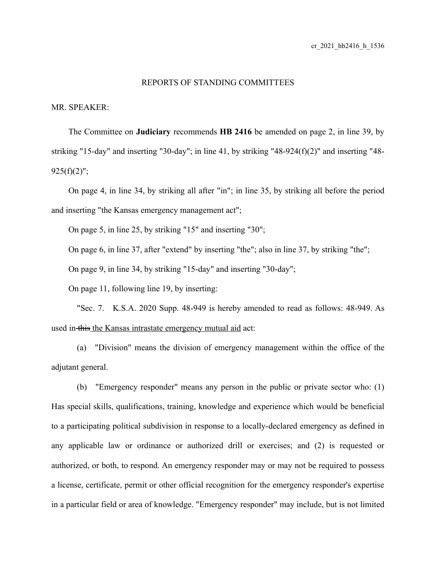## REPORTS OF STANDING COMMITTEES

MR. SPEAKER:

The Committee on **Judiciary** recommends **HB 2416** be amended on page 2, in line 39, by striking "15-day" and inserting "30-day"; in line 41, by striking "48-924(f)(2)" and inserting "48-  $925(f)(2)$ ";

On page 4, in line 34, by striking all after "in"; in line 35, by striking all before the period and inserting "the Kansas emergency management act";

On page 5, in line 25, by striking "15" and inserting "30";

On page 6, in line 37, after "extend" by inserting "the"; also in line 37, by striking "the";

On page 9, in line 34, by striking "15-day" and inserting "30-day";

On page 11, following line 19, by inserting:

"Sec. 7. K.S.A. 2020 Supp. 48-949 is hereby amended to read as follows: 48-949. As used in this the Kansas intrastate emergency mutual aid act:

(a) "Division" means the division of emergency management within the office of the adjutant general.

(b) "Emergency responder" means any person in the public or private sector who: (1) Has special skills, qualifications, training, knowledge and experience which would be beneficial to a participating political subdivision in response to a locally-declared emergency as defined in any applicable law or ordinance or authorized drill or exercises; and (2) is requested or authorized, or both, to respond. An emergency responder may or may not be required to possess a license, certificate, permit or other official recognition for the emergency responder's expertise in a particular field or area of knowledge. "Emergency responder" may include, but is not limited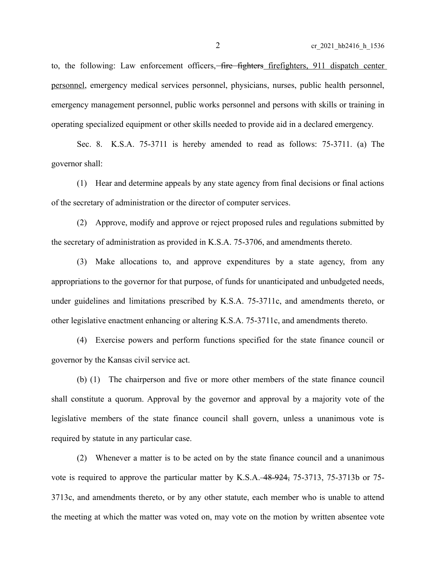to, the following: Law enforcement officers,—fire fighters firefighters, 911 dispatch center personnel, emergency medical services personnel, physicians, nurses, public health personnel, emergency management personnel, public works personnel and persons with skills or training in operating specialized equipment or other skills needed to provide aid in a declared emergency.

Sec. 8. K.S.A. 75-3711 is hereby amended to read as follows: 75-3711. (a) The governor shall:

(1) Hear and determine appeals by any state agency from final decisions or final actions of the secretary of administration or the director of computer services.

(2) Approve, modify and approve or reject proposed rules and regulations submitted by the secretary of administration as provided in K.S.A. 75-3706, and amendments thereto.

(3) Make allocations to, and approve expenditures by a state agency, from any appropriations to the governor for that purpose, of funds for unanticipated and unbudgeted needs, under guidelines and limitations prescribed by K.S.A. 75-3711c, and amendments thereto, or other legislative enactment enhancing or altering K.S.A. 75-3711c, and amendments thereto.

(4) Exercise powers and perform functions specified for the state finance council or governor by the Kansas civil service act.

(b) (1) The chairperson and five or more other members of the state finance council shall constitute a quorum. Approval by the governor and approval by a majority vote of the legislative members of the state finance council shall govern, unless a unanimous vote is required by statute in any particular case.

(2) Whenever a matter is to be acted on by the state finance council and a unanimous vote is required to approve the particular matter by K.S.A. 48-924, 75-3713, 75-3713b or 75- 3713c, and amendments thereto, or by any other statute, each member who is unable to attend the meeting at which the matter was voted on, may vote on the motion by written absentee vote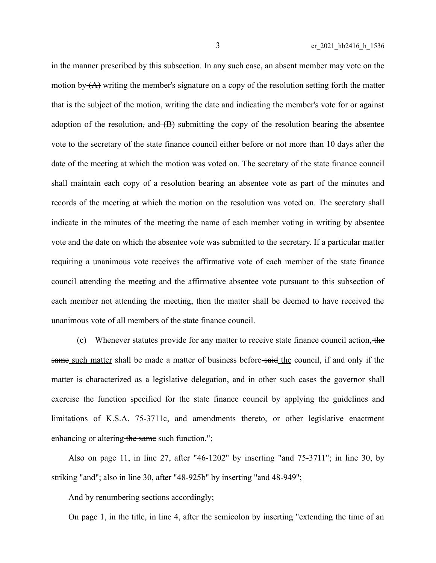in the manner prescribed by this subsection. In any such case, an absent member may vote on the motion by  $(A)$  writing the member's signature on a copy of the resolution setting forth the matter that is the subject of the motion, writing the date and indicating the member's vote for or against adoption of the resolution, and  $(B)$  submitting the copy of the resolution bearing the absentee vote to the secretary of the state finance council either before or not more than 10 days after the date of the meeting at which the motion was voted on. The secretary of the state finance council shall maintain each copy of a resolution bearing an absentee vote as part of the minutes and records of the meeting at which the motion on the resolution was voted on. The secretary shall indicate in the minutes of the meeting the name of each member voting in writing by absentee vote and the date on which the absentee vote was submitted to the secretary. If a particular matter requiring a unanimous vote receives the affirmative vote of each member of the state finance council attending the meeting and the affirmative absentee vote pursuant to this subsection of each member not attending the meeting, then the matter shall be deemed to have received the unanimous vote of all members of the state finance council.

(c) Whenever statutes provide for any matter to receive state finance council action, the same such matter shall be made a matter of business before-said the council, if and only if the matter is characterized as a legislative delegation, and in other such cases the governor shall exercise the function specified for the state finance council by applying the guidelines and limitations of K.S.A. 75-3711c, and amendments thereto, or other legislative enactment enhancing or altering the same such function.";

Also on page 11, in line 27, after "46-1202" by inserting "and 75-3711"; in line 30, by striking "and"; also in line 30, after "48-925b" by inserting "and 48-949";

And by renumbering sections accordingly;

On page 1, in the title, in line 4, after the semicolon by inserting "extending the time of an